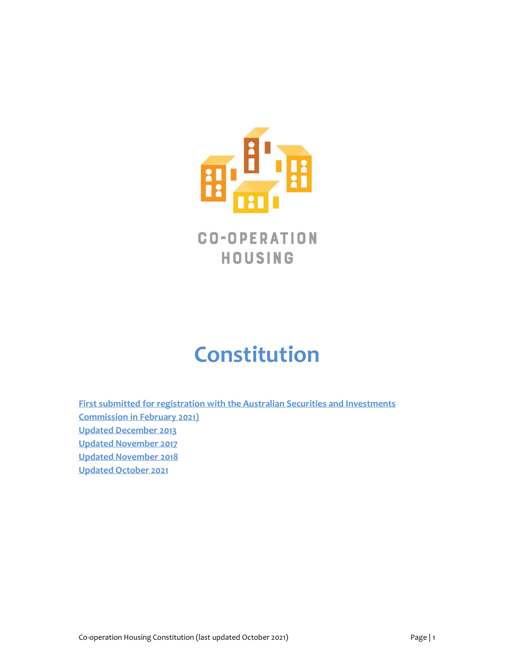

**CO-OPERATION** HOUSING

# Constitution

First submitted for registration with the Australian Securities and Investments Commission in February 2021) Updated December 2013 Updated November 2017 Updated November 2018 Updated October 2021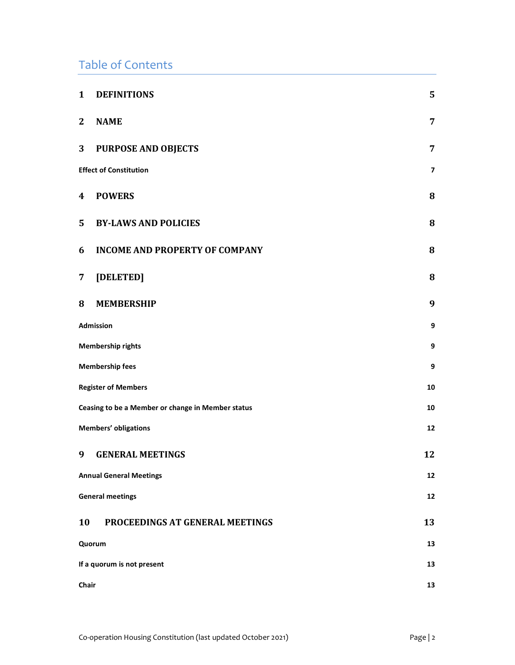# Table of Contents

| $\mathbf{1}$                                            | <b>DEFINITIONS</b>                    | 5                       |
|---------------------------------------------------------|---------------------------------------|-------------------------|
| $\mathbf{2}$                                            | <b>NAME</b>                           | $\overline{7}$          |
| 3                                                       | <b>PURPOSE AND OBJECTS</b>            | $\overline{7}$          |
| <b>Effect of Constitution</b>                           |                                       | $\overline{\mathbf{z}}$ |
| 4                                                       | <b>POWERS</b>                         | 8                       |
| 5                                                       | <b>BY-LAWS AND POLICIES</b>           | 8                       |
| 6                                                       | <b>INCOME AND PROPERTY OF COMPANY</b> | 8                       |
| 7                                                       | [DELETED]                             | 8                       |
| 8                                                       | <b>MEMBERSHIP</b>                     | 9                       |
| <b>Admission</b>                                        |                                       | 9                       |
| <b>Membership rights</b>                                |                                       | 9                       |
| <b>Membership fees</b>                                  |                                       | 9                       |
| <b>Register of Members</b><br>10                        |                                       |                         |
| Ceasing to be a Member or change in Member status<br>10 |                                       |                         |
| <b>Members' obligations</b><br>12                       |                                       |                         |
| 9                                                       | <b>GENERAL MEETINGS</b>               | 12                      |
| <b>Annual General Meetings</b>                          |                                       | 12                      |
| <b>General meetings</b><br>12                           |                                       |                         |
| 10                                                      | PROCEEDINGS AT GENERAL MEETINGS       | 13                      |
| Quorum                                                  |                                       | 13                      |
| If a quorum is not present                              |                                       |                         |
| Chair                                                   |                                       | 13                      |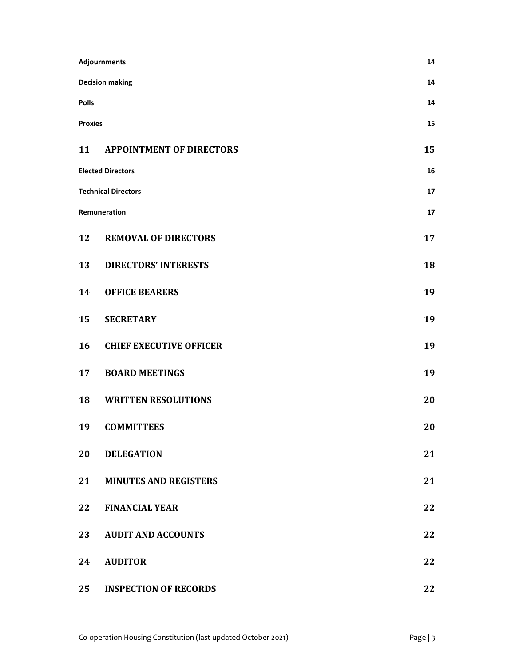| Adjournments               |                                 | 14 |
|----------------------------|---------------------------------|----|
| <b>Decision making</b>     |                                 | 14 |
| <b>Polls</b>               |                                 | 14 |
| <b>Proxies</b>             |                                 | 15 |
| 11                         | <b>APPOINTMENT OF DIRECTORS</b> | 15 |
| <b>Elected Directors</b>   |                                 | 16 |
| <b>Technical Directors</b> |                                 | 17 |
| Remuneration               |                                 | 17 |
| 12                         | <b>REMOVAL OF DIRECTORS</b>     | 17 |
| 13                         | <b>DIRECTORS' INTERESTS</b>     | 18 |
| 14                         | <b>OFFICE BEARERS</b>           | 19 |
| 15                         | <b>SECRETARY</b>                | 19 |
| 16                         | <b>CHIEF EXECUTIVE OFFICER</b>  | 19 |
| 17                         | <b>BOARD MEETINGS</b>           | 19 |
| 18                         | <b>WRITTEN RESOLUTIONS</b>      | 20 |
| 19                         | <b>COMMITTEES</b>               | 20 |
| 20                         | <b>DELEGATION</b>               | 21 |
| 21                         | <b>MINUTES AND REGISTERS</b>    | 21 |
| 22                         | <b>FINANCIAL YEAR</b>           | 22 |
| 23                         | <b>AUDIT AND ACCOUNTS</b>       | 22 |
| 24                         | <b>AUDITOR</b>                  | 22 |
| 25                         | <b>INSPECTION OF RECORDS</b>    | 22 |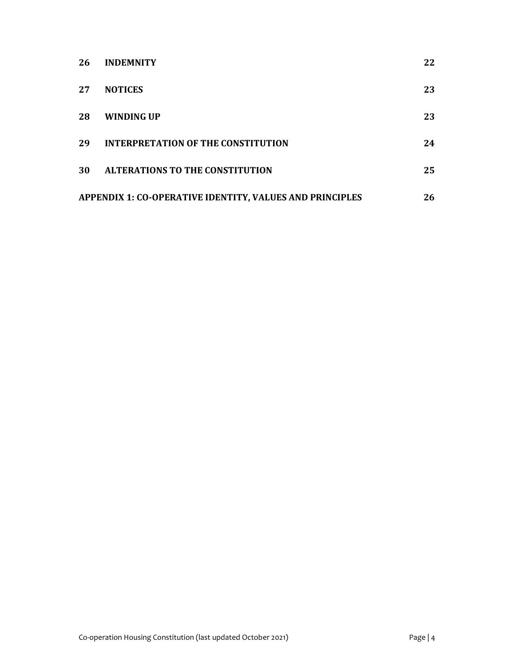| 26                                                       | <b>INDEMNITY</b>                          | 22 |
|----------------------------------------------------------|-------------------------------------------|----|
| 27                                                       | <b>NOTICES</b>                            | 23 |
| 28                                                       | <b>WINDING UP</b>                         | 23 |
| 29                                                       | <b>INTERPRETATION OF THE CONSTITUTION</b> | 24 |
| 30                                                       | <b>ALTERATIONS TO THE CONSTITUTION</b>    | 25 |
| APPENDIX 1: CO-OPERATIVE IDENTITY, VALUES AND PRINCIPLES |                                           | 26 |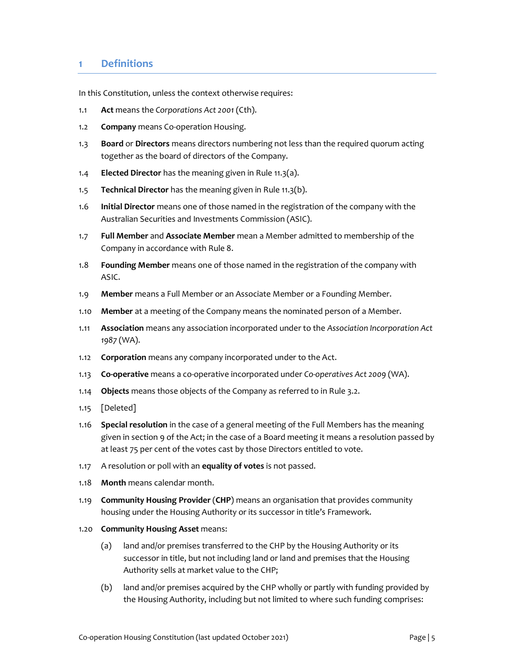## 1 Definitions

In this Constitution, unless the context otherwise requires:

- 1.1 Act means the Corporations Act 2001 (Cth).
- 1.2 Company means Co-operation Housing.
- 1.3 Board or Directors means directors numbering not less than the required quorum acting together as the board of directors of the Company.
- 1.4 Elected Director has the meaning given in Rule  $11.3(a)$ .
- 1.5 **Technical Director** has the meaning given in Rule 11.3(b).
- 1.6 Initial Director means one of those named in the registration of the company with the Australian Securities and Investments Commission (ASIC).
- 1.7 Full Member and Associate Member mean a Member admitted to membership of the Company in accordance with Rule 8.
- 1.8 Founding Member means one of those named in the registration of the company with ASIC.
- 1.9 Member means a Full Member or an Associate Member or a Founding Member.
- 1.10 **Member** at a meeting of the Company means the nominated person of a Member.
- 1.11 **Association** means any association incorporated under to the Association Incorporation Act 1987 (WA).
- 1.12 Corporation means any company incorporated under to the Act.
- 1.13 Co-operative means a co-operative incorporated under Co-operatives Act 2009 (WA).
- 1.14 Objects means those objects of the Company as referred to in Rule 3.2.
- 1.15 [Deleted]
- 1.16 Special resolution in the case of a general meeting of the Full Members has the meaning given in section 9 of the Act; in the case of a Board meeting it means a resolution passed by at least 75 per cent of the votes cast by those Directors entitled to vote.
- 1.17 A resolution or poll with an equality of votes is not passed.
- 1.18 **Month** means calendar month.
- 1.19 Community Housing Provider (CHP) means an organisation that provides community housing under the Housing Authority or its successor in title's Framework.
- 1.20 Community Housing Asset means:
	- (a) land and/or premises transferred to the CHP by the Housing Authority or its successor in title, but not including land or land and premises that the Housing Authority sells at market value to the CHP;
	- (b) land and/or premises acquired by the CHP wholly or partly with funding provided by the Housing Authority, including but not limited to where such funding comprises: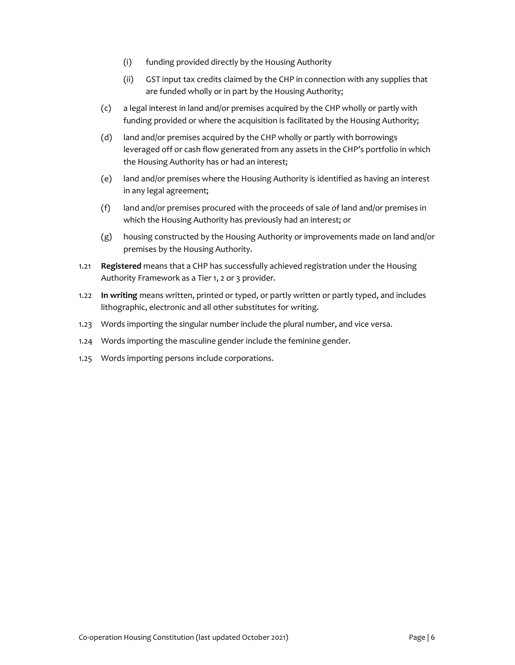- (i) funding provided directly by the Housing Authority
- (ii) GST input tax credits claimed by the CHP in connection with any supplies that are funded wholly or in part by the Housing Authority;
- (c) a legal interest in land and/or premises acquired by the CHP wholly or partly with funding provided or where the acquisition is facilitated by the Housing Authority;
- (d) land and/or premises acquired by the CHP wholly or partly with borrowings leveraged off or cash flow generated from any assets in the CHP's portfolio in which the Housing Authority has or had an interest;
- (e) land and/or premises where the Housing Authority is identified as having an interest in any legal agreement;
- (f) land and/or premises procured with the proceeds of sale of land and/or premises in which the Housing Authority has previously had an interest; or
- (g) housing constructed by the Housing Authority or improvements made on land and/or premises by the Housing Authority.
- 1.21 Registered means that a CHP has successfully achieved registration under the Housing Authority Framework as a Tier 1, 2 or 3 provider.
- 1.22 In writing means written, printed or typed, or partly written or partly typed, and includes lithographic, electronic and all other substitutes for writing.
- 1.23 Words importing the singular number include the plural number, and vice versa.
- 1.24 Words importing the masculine gender include the feminine gender.
- 1.25 Words importing persons include corporations.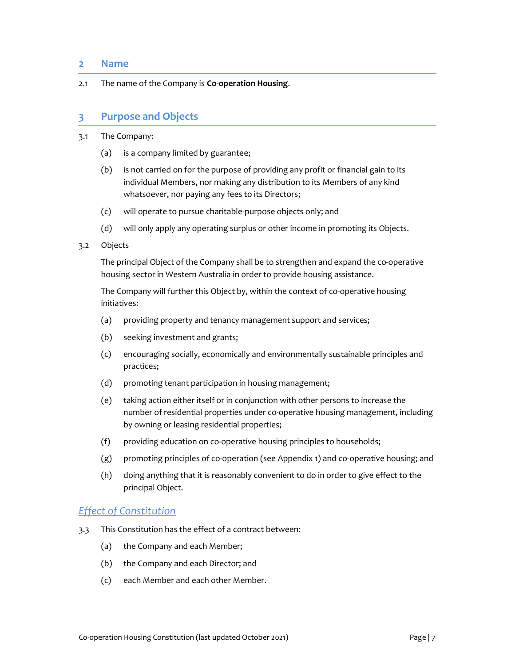#### 2 Name

2.1 The name of the Company is Co-operation Housing.

## 3 Purpose and Objects

- 3.1 The Company:
	- (a) is a company limited by guarantee;
	- (b) is not carried on for the purpose of providing any profit or financial gain to its individual Members, nor making any distribution to its Members of any kind whatsoever, nor paying any fees to its Directors;
	- (c) will operate to pursue charitable-purpose objects only; and
	- (d) will only apply any operating surplus or other income in promoting its Objects.
- 3.2 Objects

The principal Object of the Company shall be to strengthen and expand the co-operative housing sector in Western Australia in order to provide housing assistance.

The Company will further this Object by, within the context of co-operative housing initiatives:

- (a) providing property and tenancy management support and services;
- (b) seeking investment and grants;
- (c) encouraging socially, economically and environmentally sustainable principles and practices;
- (d) promoting tenant participation in housing management;
- (e) taking action either itself or in conjunction with other persons to increase the number of residential properties under co-operative housing management, including by owning or leasing residential properties;
- (f) providing education on co-operative housing principles to households;
- (g) promoting principles of co-operation (see Appendix 1) and co-operative housing; and
- (h) doing anything that it is reasonably convenient to do in order to give effect to the principal Object.

## Effect of Constitution

- 3.3 This Constitution has the effect of a contract between:
	- (a) the Company and each Member;
	- (b) the Company and each Director; and
	- (c) each Member and each other Member.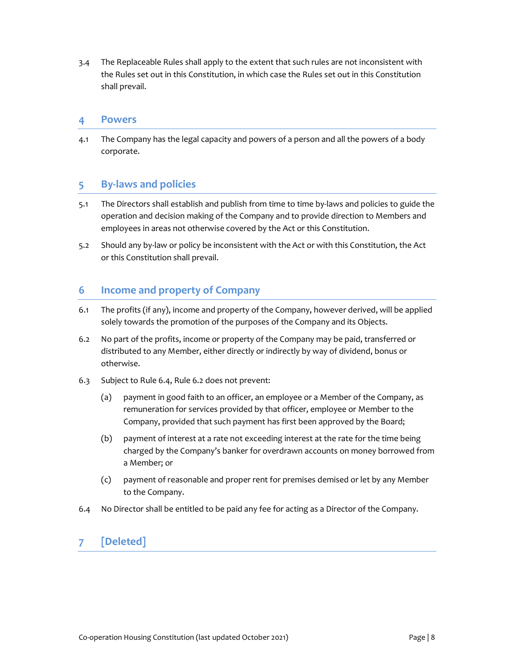3.4 The Replaceable Rules shall apply to the extent that such rules are not inconsistent with the Rules set out in this Constitution, in which case the Rules set out in this Constitution shall prevail.

#### 4 Powers

4.1 The Company has the legal capacity and powers of a person and all the powers of a body corporate.

## 5 By-laws and policies

- 5.1 The Directors shall establish and publish from time to time by-laws and policies to guide the operation and decision making of the Company and to provide direction to Members and employees in areas not otherwise covered by the Act or this Constitution.
- 5.2 Should any by-law or policy be inconsistent with the Act or with this Constitution, the Act or this Constitution shall prevail.

## 6 Income and property of Company

- 6.1 The profits (if any), income and property of the Company, however derived, will be applied solely towards the promotion of the purposes of the Company and its Objects.
- 6.2 No part of the profits, income or property of the Company may be paid, transferred or distributed to any Member, either directly or indirectly by way of dividend, bonus or otherwise.
- 6.3 Subject to Rule 6.4, Rule 6.2 does not prevent:
	- (a) payment in good faith to an officer, an employee or a Member of the Company, as remuneration for services provided by that officer, employee or Member to the Company, provided that such payment has first been approved by the Board;
	- (b) payment of interest at a rate not exceeding interest at the rate for the time being charged by the Company's banker for overdrawn accounts on money borrowed from a Member; or
	- (c) payment of reasonable and proper rent for premises demised or let by any Member to the Company.
- 6.4 No Director shall be entitled to be paid any fee for acting as a Director of the Company.

# 7 [Deleted]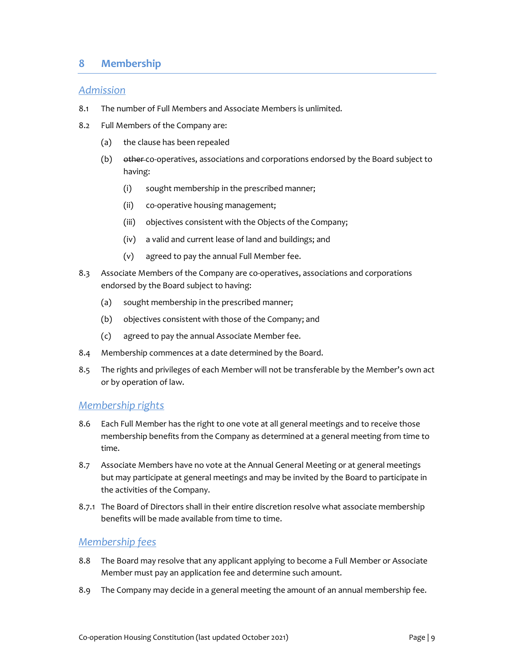## 8 Membership

#### Admission

- 8.1 The number of Full Members and Associate Members is unlimited.
- 8.2 Full Members of the Company are:
	- (a) the clause has been repealed
	- (b) other co-operatives, associations and corporations endorsed by the Board subject to having:
		- (i) sought membership in the prescribed manner;
		- (ii) co-operative housing management;
		- (iii) objectives consistent with the Objects of the Company;
		- (iv) a valid and current lease of land and buildings; and
		- (v) agreed to pay the annual Full Member fee.
- 8.3 Associate Members of the Company are co-operatives, associations and corporations endorsed by the Board subject to having:
	- (a) sought membership in the prescribed manner;
	- (b) objectives consistent with those of the Company; and
	- (c) agreed to pay the annual Associate Member fee.
- 8.4 Membership commences at a date determined by the Board.
- 8.5 The rights and privileges of each Member will not be transferable by the Member's own act or by operation of law.

## Membership rights

- 8.6 Each Full Member has the right to one vote at all general meetings and to receive those membership benefits from the Company as determined at a general meeting from time to time.
- 8.7 Associate Members have no vote at the Annual General Meeting or at general meetings but may participate at general meetings and may be invited by the Board to participate in the activities of the Company.
- 8.7.1 The Board of Directors shall in their entire discretion resolve what associate membership benefits will be made available from time to time.

## Membership fees

- 8.8 The Board may resolve that any applicant applying to become a Full Member or Associate Member must pay an application fee and determine such amount.
- 8.9 The Company may decide in a general meeting the amount of an annual membership fee.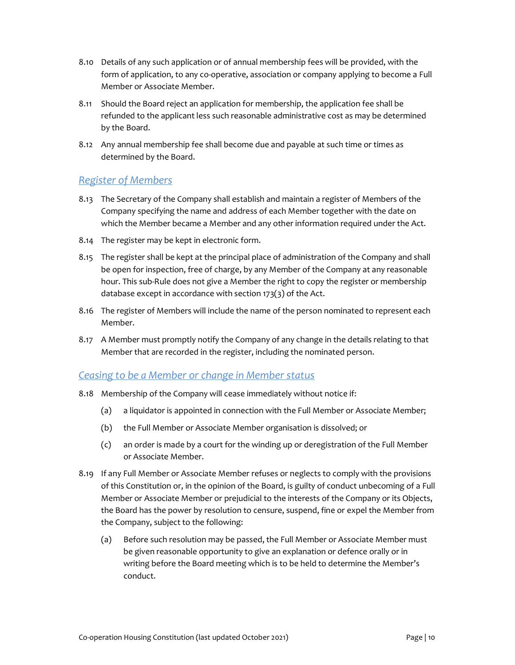- 8.10 Details of any such application or of annual membership fees will be provided, with the form of application, to any co-operative, association or company applying to become a Full Member or Associate Member.
- 8.11 Should the Board reject an application for membership, the application fee shall be refunded to the applicant less such reasonable administrative cost as may be determined by the Board.
- 8.12 Any annual membership fee shall become due and payable at such time or times as determined by the Board.

## Register of Members

- 8.13 The Secretary of the Company shall establish and maintain a register of Members of the Company specifying the name and address of each Member together with the date on which the Member became a Member and any other information required under the Act.
- 8.14 The register may be kept in electronic form.
- 8.15 The register shall be kept at the principal place of administration of the Company and shall be open for inspection, free of charge, by any Member of the Company at any reasonable hour. This sub-Rule does not give a Member the right to copy the register or membership database except in accordance with section 173(3) of the Act.
- 8.16 The register of Members will include the name of the person nominated to represent each Member.
- 8.17 A Member must promptly notify the Company of any change in the details relating to that Member that are recorded in the register, including the nominated person.

## Ceasing to be a Member or change in Member status

- 8.18 Membership of the Company will cease immediately without notice if:
	- (a) a liquidator is appointed in connection with the Full Member or Associate Member;
	- (b) the Full Member or Associate Member organisation is dissolved; or
	- (c) an order is made by a court for the winding up or deregistration of the Full Member or Associate Member.
- 8.19 If any Full Member or Associate Member refuses or neglects to comply with the provisions of this Constitution or, in the opinion of the Board, is guilty of conduct unbecoming of a Full Member or Associate Member or prejudicial to the interests of the Company or its Objects, the Board has the power by resolution to censure, suspend, fine or expel the Member from the Company, subject to the following:
	- (a) Before such resolution may be passed, the Full Member or Associate Member must be given reasonable opportunity to give an explanation or defence orally or in writing before the Board meeting which is to be held to determine the Member's conduct.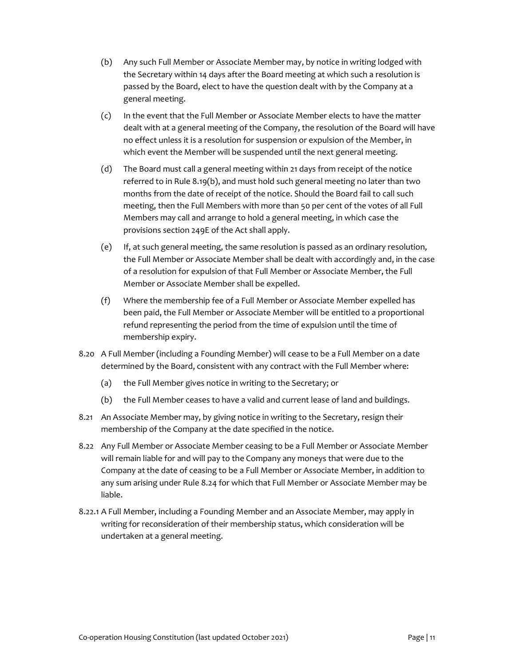- (b) Any such Full Member or Associate Member may, by notice in writing lodged with the Secretary within 14 days after the Board meeting at which such a resolution is passed by the Board, elect to have the question dealt with by the Company at a general meeting.
- (c) In the event that the Full Member or Associate Member elects to have the matter dealt with at a general meeting of the Company, the resolution of the Board will have no effect unless it is a resolution for suspension or expulsion of the Member, in which event the Member will be suspended until the next general meeting.
- (d) The Board must call a general meeting within 21 days from receipt of the notice referred to in Rule 8.19(b), and must hold such general meeting no later than two months from the date of receipt of the notice. Should the Board fail to call such meeting, then the Full Members with more than 50 per cent of the votes of all Full Members may call and arrange to hold a general meeting, in which case the provisions section 249E of the Act shall apply.
- (e) If, at such general meeting, the same resolution is passed as an ordinary resolution, the Full Member or Associate Member shall be dealt with accordingly and, in the case of a resolution for expulsion of that Full Member or Associate Member, the Full Member or Associate Member shall be expelled.
- (f) Where the membership fee of a Full Member or Associate Member expelled has been paid, the Full Member or Associate Member will be entitled to a proportional refund representing the period from the time of expulsion until the time of membership expiry.
- 8.20 A Full Member (including a Founding Member) will cease to be a Full Member on a date determined by the Board, consistent with any contract with the Full Member where:
	- (a) the Full Member gives notice in writing to the Secretary; or
	- (b) the Full Member ceases to have a valid and current lease of land and buildings.
- 8.21 An Associate Member may, by giving notice in writing to the Secretary, resign their membership of the Company at the date specified in the notice.
- 8.22 Any Full Member or Associate Member ceasing to be a Full Member or Associate Member will remain liable for and will pay to the Company any moneys that were due to the Company at the date of ceasing to be a Full Member or Associate Member, in addition to any sum arising under Rule 8.24 for which that Full Member or Associate Member may be liable.
- 8.22.1 A Full Member, including a Founding Member and an Associate Member, may apply in writing for reconsideration of their membership status, which consideration will be undertaken at a general meeting.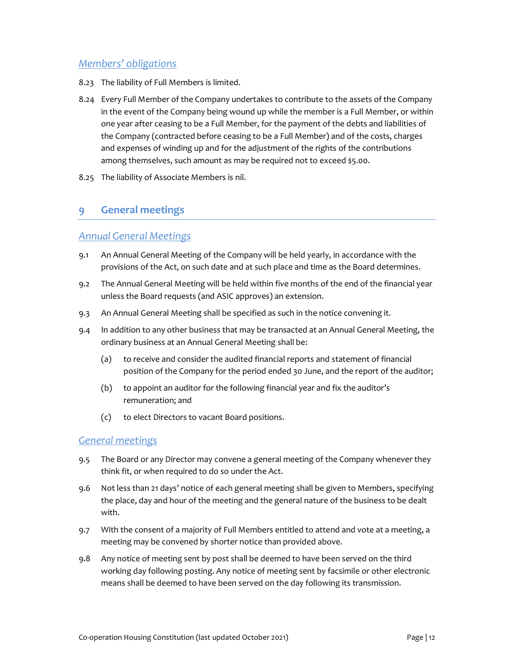# Members' obligations

- 8.23 The liability of Full Members is limited.
- 8.24 Every Full Member of the Company undertakes to contribute to the assets of the Company in the event of the Company being wound up while the member is a Full Member, or within one year after ceasing to be a Full Member, for the payment of the debts and liabilities of the Company (contracted before ceasing to be a Full Member) and of the costs, charges and expenses of winding up and for the adjustment of the rights of the contributions among themselves, such amount as may be required not to exceed \$5.00.
- 8.25 The liability of Associate Members is nil.

## 9 General meetings

## Annual General Meetings

- 9.1 An Annual General Meeting of the Company will be held yearly, in accordance with the provisions of the Act, on such date and at such place and time as the Board determines.
- 9.2 The Annual General Meeting will be held within five months of the end of the financial year unless the Board requests (and ASIC approves) an extension.
- 9.3 An Annual General Meeting shall be specified as such in the notice convening it.
- 9.4 In addition to any other business that may be transacted at an Annual General Meeting, the ordinary business at an Annual General Meeting shall be:
	- (a) to receive and consider the audited financial reports and statement of financial position of the Company for the period ended 30 June, and the report of the auditor;
	- (b) to appoint an auditor for the following financial year and fix the auditor's remuneration; and
	- (c) to elect Directors to vacant Board positions.

## General meetings

- 9.5 The Board or any Director may convene a general meeting of the Company whenever they think fit, or when required to do so under the Act.
- 9.6 Not less than 21 days' notice of each general meeting shall be given to Members, specifying the place, day and hour of the meeting and the general nature of the business to be dealt with.
- 9.7 With the consent of a majority of Full Members entitled to attend and vote at a meeting, a meeting may be convened by shorter notice than provided above.
- 9.8 Any notice of meeting sent by post shall be deemed to have been served on the third working day following posting. Any notice of meeting sent by facsimile or other electronic means shall be deemed to have been served on the day following its transmission.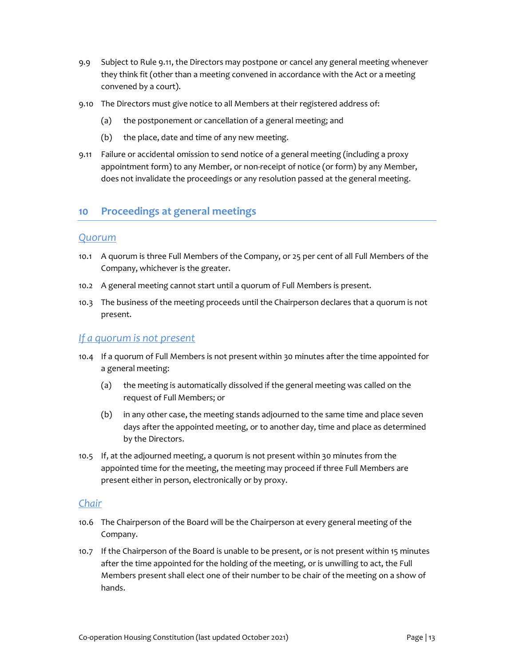- 9.9 Subject to Rule 9.11, the Directors may postpone or cancel any general meeting whenever they think fit (other than a meeting convened in accordance with the Act or a meeting convened by a court).
- 9.10 The Directors must give notice to all Members at their registered address of:
	- (a) the postponement or cancellation of a general meeting; and
	- (b) the place, date and time of any new meeting.
- 9.11 Failure or accidental omission to send notice of a general meeting (including a proxy appointment form) to any Member, or non-receipt of notice (or form) by any Member, does not invalidate the proceedings or any resolution passed at the general meeting.

## 10 Proceedings at general meetings

#### Quorum

- 10.1 A quorum is three Full Members of the Company, or 25 per cent of all Full Members of the Company, whichever is the greater.
- 10.2 A general meeting cannot start until a quorum of Full Members is present.
- 10.3 The business of the meeting proceeds until the Chairperson declares that a quorum is not present.

#### If a quorum is not present

- 10.4 If a quorum of Full Members is not present within 30 minutes after the time appointed for a general meeting:
	- (a) the meeting is automatically dissolved if the general meeting was called on the request of Full Members; or
	- (b) in any other case, the meeting stands adjourned to the same time and place seven days after the appointed meeting, or to another day, time and place as determined by the Directors.
- 10.5 If, at the adjourned meeting, a quorum is not present within 30 minutes from the appointed time for the meeting, the meeting may proceed if three Full Members are present either in person, electronically or by proxy.

#### Chair

- 10.6 The Chairperson of the Board will be the Chairperson at every general meeting of the Company.
- 10.7 If the Chairperson of the Board is unable to be present, or is not present within 15 minutes after the time appointed for the holding of the meeting, or is unwilling to act, the Full Members present shall elect one of their number to be chair of the meeting on a show of hands.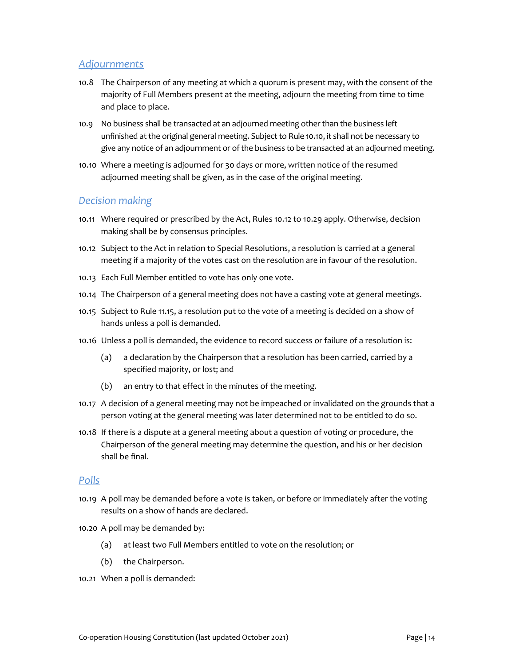## Adjournments

- 10.8 The Chairperson of any meeting at which a quorum is present may, with the consent of the majority of Full Members present at the meeting, adjourn the meeting from time to time and place to place.
- 10.9 No business shall be transacted at an adjourned meeting other than the business left unfinished at the original general meeting. Subject to Rule 10.10, it shall not be necessary to give any notice of an adjournment or of the business to be transacted at an adjourned meeting.
- 10.10 Where a meeting is adjourned for 30 days or more, written notice of the resumed adjourned meeting shall be given, as in the case of the original meeting.

## Decision making

- 10.11 Where required or prescribed by the Act, Rules 10.12 to 10.29 apply. Otherwise, decision making shall be by consensus principles.
- 10.12 Subject to the Act in relation to Special Resolutions, a resolution is carried at a general meeting if a majority of the votes cast on the resolution are in favour of the resolution.
- 10.13 Each Full Member entitled to vote has only one vote.
- 10.14 The Chairperson of a general meeting does not have a casting vote at general meetings.
- 10.15 Subject to Rule 11.15, a resolution put to the vote of a meeting is decided on a show of hands unless a poll is demanded.
- 10.16 Unless a poll is demanded, the evidence to record success or failure of a resolution is:
	- (a) a declaration by the Chairperson that a resolution has been carried, carried by a specified majority, or lost; and
	- (b) an entry to that effect in the minutes of the meeting.
- 10.17 A decision of a general meeting may not be impeached or invalidated on the grounds that a person voting at the general meeting was later determined not to be entitled to do so.
- 10.18 If there is a dispute at a general meeting about a question of voting or procedure, the Chairperson of the general meeting may determine the question, and his or her decision shall be final.

## Polls

- 10.19 A poll may be demanded before a vote is taken, or before or immediately after the voting results on a show of hands are declared.
- 10.20 A poll may be demanded by:
	- (a) at least two Full Members entitled to vote on the resolution; or
	- (b) the Chairperson.
- 10.21 When a poll is demanded: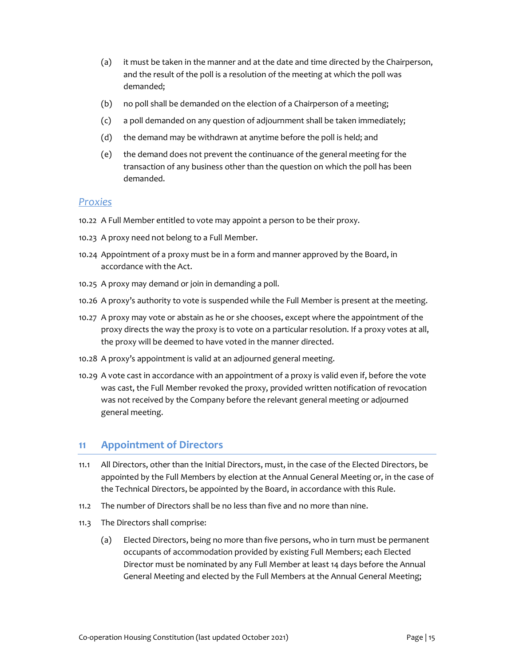- (a) it must be taken in the manner and at the date and time directed by the Chairperson, and the result of the poll is a resolution of the meeting at which the poll was demanded;
- (b) no poll shall be demanded on the election of a Chairperson of a meeting;
- (c) a poll demanded on any question of adjournment shall be taken immediately;
- (d) the demand may be withdrawn at anytime before the poll is held; and
- (e) the demand does not prevent the continuance of the general meeting for the transaction of any business other than the question on which the poll has been demanded.

## Proxies

- 10.22 A Full Member entitled to vote may appoint a person to be their proxy.
- 10.23 A proxy need not belong to a Full Member.
- 10.24 Appointment of a proxy must be in a form and manner approved by the Board, in accordance with the Act.
- 10.25 A proxy may demand or join in demanding a poll.
- 10.26 A proxy's authority to vote is suspended while the Full Member is present at the meeting.
- 10.27 A proxy may vote or abstain as he or she chooses, except where the appointment of the proxy directs the way the proxy is to vote on a particular resolution. If a proxy votes at all, the proxy will be deemed to have voted in the manner directed.
- 10.28 A proxy's appointment is valid at an adjourned general meeting.
- 10.29 A vote cast in accordance with an appointment of a proxy is valid even if, before the vote was cast, the Full Member revoked the proxy, provided written notification of revocation was not received by the Company before the relevant general meeting or adjourned general meeting.

# 11 Appointment of Directors

- 11.1 All Directors, other than the Initial Directors, must, in the case of the Elected Directors, be appointed by the Full Members by election at the Annual General Meeting or, in the case of the Technical Directors, be appointed by the Board, in accordance with this Rule.
- 11.2 The number of Directors shall be no less than five and no more than nine.
- 11.3 The Directors shall comprise:
	- (a) Elected Directors, being no more than five persons, who in turn must be permanent occupants of accommodation provided by existing Full Members; each Elected Director must be nominated by any Full Member at least 14 days before the Annual General Meeting and elected by the Full Members at the Annual General Meeting;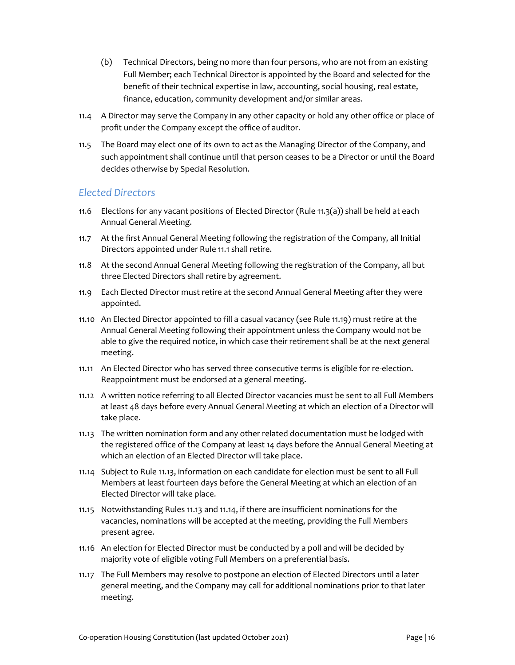- (b) Technical Directors, being no more than four persons, who are not from an existing Full Member; each Technical Director is appointed by the Board and selected for the benefit of their technical expertise in law, accounting, social housing, real estate, finance, education, community development and/or similar areas.
- 11.4 A Director may serve the Company in any other capacity or hold any other office or place of profit under the Company except the office of auditor.
- 11.5 The Board may elect one of its own to act as the Managing Director of the Company, and such appointment shall continue until that person ceases to be a Director or until the Board decides otherwise by Special Resolution.

## Elected Directors

- 11.6 Elections for any vacant positions of Elected Director (Rule 11.3(a)) shall be held at each Annual General Meeting.
- 11.7 At the first Annual General Meeting following the registration of the Company, all Initial Directors appointed under Rule 11.1 shall retire.
- 11.8 At the second Annual General Meeting following the registration of the Company, all but three Elected Directors shall retire by agreement.
- 11.9 Each Elected Director must retire at the second Annual General Meeting after they were appointed.
- 11.10 An Elected Director appointed to fill a casual vacancy (see Rule 11.19) must retire at the Annual General Meeting following their appointment unless the Company would not be able to give the required notice, in which case their retirement shall be at the next general meeting.
- 11.11 An Elected Director who has served three consecutive terms is eligible for re-election. Reappointment must be endorsed at a general meeting.
- 11.12 A written notice referring to all Elected Director vacancies must be sent to all Full Members at least 48 days before every Annual General Meeting at which an election of a Director will take place.
- 11.13 The written nomination form and any other related documentation must be lodged with the registered office of the Company at least 14 days before the Annual General Meeting at which an election of an Elected Director will take place.
- 11.14 Subject to Rule 11.13, information on each candidate for election must be sent to all Full Members at least fourteen days before the General Meeting at which an election of an Elected Director will take place.
- 11.15 Notwithstanding Rules 11.13 and 11.14, if there are insufficient nominations for the vacancies, nominations will be accepted at the meeting, providing the Full Members present agree.
- 11.16 An election for Elected Director must be conducted by a poll and will be decided by majority vote of eligible voting Full Members on a preferential basis.
- 11.17 The Full Members may resolve to postpone an election of Elected Directors until a later general meeting, and the Company may call for additional nominations prior to that later meeting.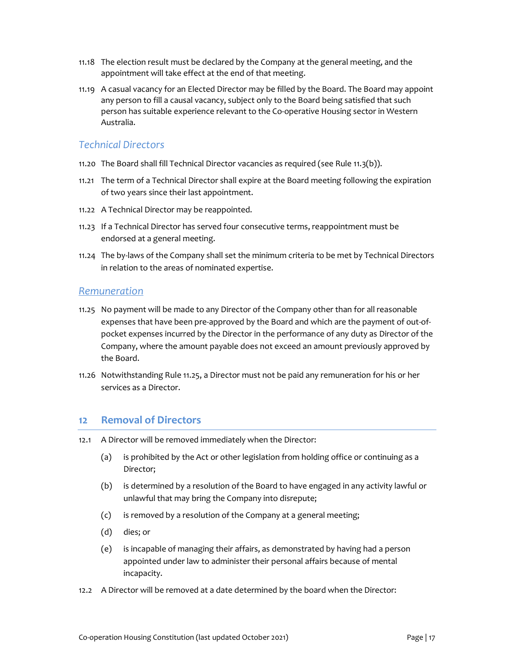- 11.18 The election result must be declared by the Company at the general meeting, and the appointment will take effect at the end of that meeting.
- 11.19 A casual vacancy for an Elected Director may be filled by the Board. The Board may appoint any person to fill a causal vacancy, subject only to the Board being satisfied that such person has suitable experience relevant to the Co-operative Housing sector in Western Australia.

## Technical Directors

- 11.20 The Board shall fill Technical Director vacancies as required (see Rule 11.3(b)).
- 11.21 The term of a Technical Director shall expire at the Board meeting following the expiration of two years since their last appointment.
- 11.22 A Technical Director may be reappointed.
- 11.23 If a Technical Director has served four consecutive terms, reappointment must be endorsed at a general meeting.
- 11.24 The by-laws of the Company shall set the minimum criteria to be met by Technical Directors in relation to the areas of nominated expertise.

#### Remuneration

- 11.25 No payment will be made to any Director of the Company other than for all reasonable expenses that have been pre-approved by the Board and which are the payment of out-ofpocket expenses incurred by the Director in the performance of any duty as Director of the Company, where the amount payable does not exceed an amount previously approved by the Board.
- 11.26 Notwithstanding Rule 11.25, a Director must not be paid any remuneration for his or her services as a Director.

## 12 Removal of Directors

- 12.1 A Director will be removed immediately when the Director:
	- (a) is prohibited by the Act or other legislation from holding office or continuing as a Director;
	- (b) is determined by a resolution of the Board to have engaged in any activity lawful or unlawful that may bring the Company into disrepute;
	- (c) is removed by a resolution of the Company at a general meeting;
	- (d) dies; or
	- (e) is incapable of managing their affairs, as demonstrated by having had a person appointed under law to administer their personal affairs because of mental incapacity.
- 12.2 A Director will be removed at a date determined by the board when the Director: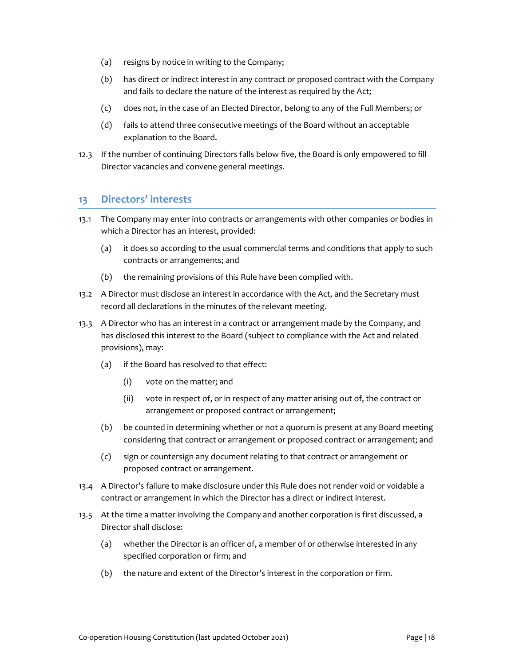- (a) resigns by notice in writing to the Company;
- (b) has direct or indirect interest in any contract or proposed contract with the Company and fails to declare the nature of the interest as required by the Act;
- (c) does not, in the case of an Elected Director, belong to any of the Full Members; or
- (d) fails to attend three consecutive meetings of the Board without an acceptable explanation to the Board.
- 12.3 If the number of continuing Directors falls below five, the Board is only empowered to fill Director vacancies and convene general meetings.

## 13 Directors' interests

- 13.1 The Company may enter into contracts or arrangements with other companies or bodies in which a Director has an interest, provided:
	- (a) it does so according to the usual commercial terms and conditions that apply to such contracts or arrangements; and
	- (b) the remaining provisions of this Rule have been complied with.
- 13.2 A Director must disclose an interest in accordance with the Act, and the Secretary must record all declarations in the minutes of the relevant meeting.
- 13.3 A Director who has an interest in a contract or arrangement made by the Company, and has disclosed this interest to the Board (subject to compliance with the Act and related provisions), may:
	- (a) if the Board has resolved to that effect:
		- (i) vote on the matter; and
		- (ii) vote in respect of, or in respect of any matter arising out of, the contract or arrangement or proposed contract or arrangement;
	- (b) be counted in determining whether or not a quorum is present at any Board meeting considering that contract or arrangement or proposed contract or arrangement; and
	- (c) sign or countersign any document relating to that contract or arrangement or proposed contract or arrangement.
- 13.4 A Director's failure to make disclosure under this Rule does not render void or voidable a contract or arrangement in which the Director has a direct or indirect interest.
- 13.5 At the time a matter involving the Company and another corporation is first discussed, a Director shall disclose:
	- (a) whether the Director is an officer of, a member of or otherwise interested in any specified corporation or firm; and
	- (b) the nature and extent of the Director's interest in the corporation or firm.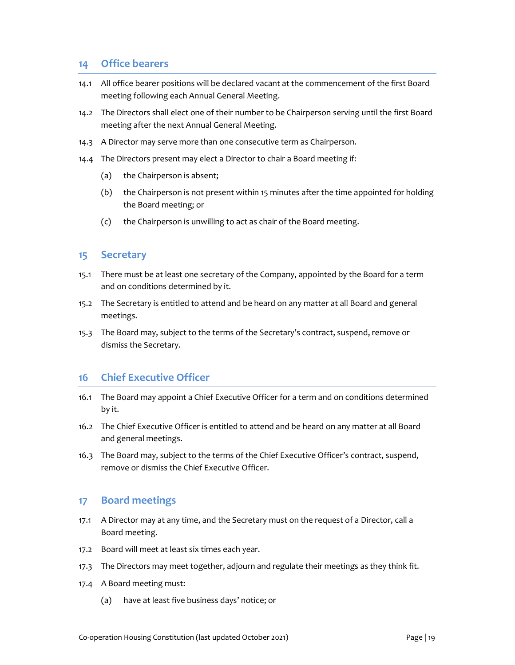## 14 Office bearers

- 14.1 All office bearer positions will be declared vacant at the commencement of the first Board meeting following each Annual General Meeting.
- 14.2 The Directors shall elect one of their number to be Chairperson serving until the first Board meeting after the next Annual General Meeting.
- 14.3 A Director may serve more than one consecutive term as Chairperson.
- 14.4 The Directors present may elect a Director to chair a Board meeting if:
	- (a) the Chairperson is absent;
	- (b) the Chairperson is not present within 15 minutes after the time appointed for holding the Board meeting; or
	- (c) the Chairperson is unwilling to act as chair of the Board meeting.

#### 15 Secretary

- 15.1 There must be at least one secretary of the Company, appointed by the Board for a term and on conditions determined by it.
- 15.2 The Secretary is entitled to attend and be heard on any matter at all Board and general meetings.
- 15.3 The Board may, subject to the terms of the Secretary's contract, suspend, remove or dismiss the Secretary.

## 16 Chief Executive Officer

- 16.1 The Board may appoint a Chief Executive Officer for a term and on conditions determined by it.
- 16.2 The Chief Executive Officer is entitled to attend and be heard on any matter at all Board and general meetings.
- 16.3 The Board may, subject to the terms of the Chief Executive Officer's contract, suspend, remove or dismiss the Chief Executive Officer.

## 17 Board meetings

- 17.1 A Director may at any time, and the Secretary must on the request of a Director, call a Board meeting.
- 17.2 Board will meet at least six times each year.
- 17.3 The Directors may meet together, adjourn and regulate their meetings as they think fit.
- 17.4 A Board meeting must:
	- (a) have at least five business days' notice; or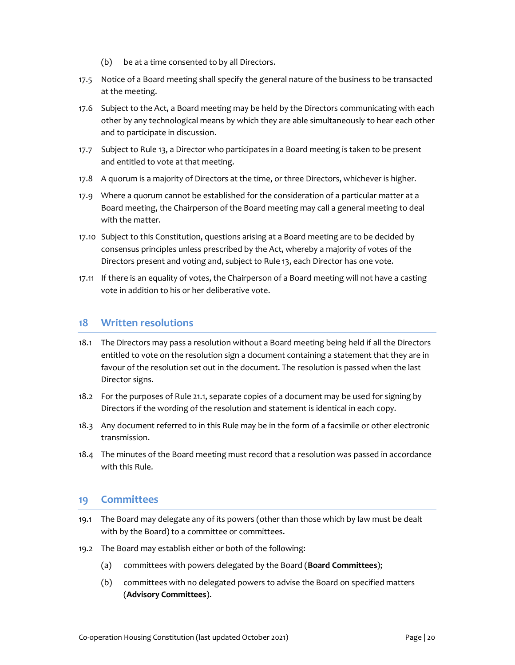- (b) be at a time consented to by all Directors.
- 17.5 Notice of a Board meeting shall specify the general nature of the business to be transacted at the meeting.
- 17.6 Subject to the Act, a Board meeting may be held by the Directors communicating with each other by any technological means by which they are able simultaneously to hear each other and to participate in discussion.
- 17.7 Subject to Rule 13, a Director who participates in a Board meeting is taken to be present and entitled to vote at that meeting.
- 17.8 A quorum is a majority of Directors at the time, or three Directors, whichever is higher.
- 17.9 Where a quorum cannot be established for the consideration of a particular matter at a Board meeting, the Chairperson of the Board meeting may call a general meeting to deal with the matter.
- 17.10 Subject to this Constitution, questions arising at a Board meeting are to be decided by consensus principles unless prescribed by the Act, whereby a majority of votes of the Directors present and voting and, subject to Rule 13, each Director has one vote.
- 17.11 If there is an equality of votes, the Chairperson of a Board meeting will not have a casting vote in addition to his or her deliberative vote.

## 18 Written resolutions

- 18.1 The Directors may pass a resolution without a Board meeting being held if all the Directors entitled to vote on the resolution sign a document containing a statement that they are in favour of the resolution set out in the document. The resolution is passed when the last Director signs.
- 18.2 For the purposes of Rule 21.1, separate copies of a document may be used for signing by Directors if the wording of the resolution and statement is identical in each copy.
- 18.3 Any document referred to in this Rule may be in the form of a facsimile or other electronic transmission.
- 18.4 The minutes of the Board meeting must record that a resolution was passed in accordance with this Rule.

## 19 Committees

- 19.1 The Board may delegate any of its powers (other than those which by law must be dealt with by the Board) to a committee or committees.
- 19.2 The Board may establish either or both of the following:
	- (a) committees with powers delegated by the Board (Board Committees);
	- (b) committees with no delegated powers to advise the Board on specified matters (Advisory Committees).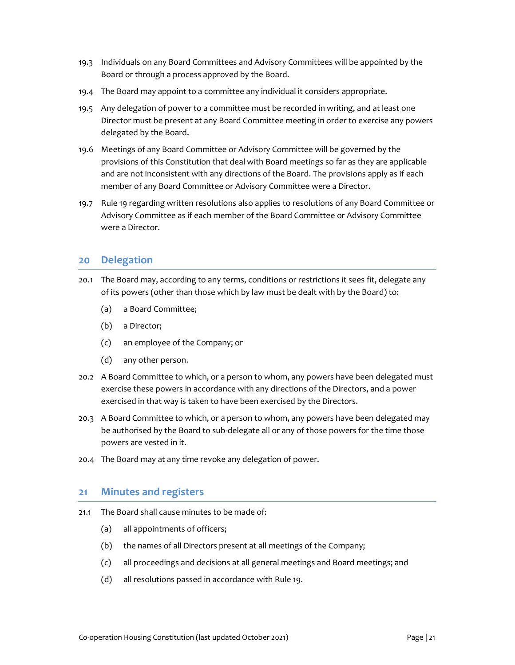- 19.3 Individuals on any Board Committees and Advisory Committees will be appointed by the Board or through a process approved by the Board.
- 19.4 The Board may appoint to a committee any individual it considers appropriate.
- 19.5 Any delegation of power to a committee must be recorded in writing, and at least one Director must be present at any Board Committee meeting in order to exercise any powers delegated by the Board.
- 19.6 Meetings of any Board Committee or Advisory Committee will be governed by the provisions of this Constitution that deal with Board meetings so far as they are applicable and are not inconsistent with any directions of the Board. The provisions apply as if each member of any Board Committee or Advisory Committee were a Director.
- 19.7 Rule 19 regarding written resolutions also applies to resolutions of any Board Committee or Advisory Committee as if each member of the Board Committee or Advisory Committee were a Director.

## 20 Delegation

- 20.1 The Board may, according to any terms, conditions or restrictions it sees fit, delegate any of its powers (other than those which by law must be dealt with by the Board) to:
	- (a) a Board Committee;
	- (b) a Director;
	- (c) an employee of the Company; or
	- (d) any other person.
- 20.2 A Board Committee to which, or a person to whom, any powers have been delegated must exercise these powers in accordance with any directions of the Directors, and a power exercised in that way is taken to have been exercised by the Directors.
- 20.3 A Board Committee to which, or a person to whom, any powers have been delegated may be authorised by the Board to sub-delegate all or any of those powers for the time those powers are vested in it.
- 20.4 The Board may at any time revoke any delegation of power.

## 21 Minutes and registers

- 21.1 The Board shall cause minutes to be made of:
	- (a) all appointments of officers;
	- (b) the names of all Directors present at all meetings of the Company;
	- (c) all proceedings and decisions at all general meetings and Board meetings; and
	- (d) all resolutions passed in accordance with Rule 19.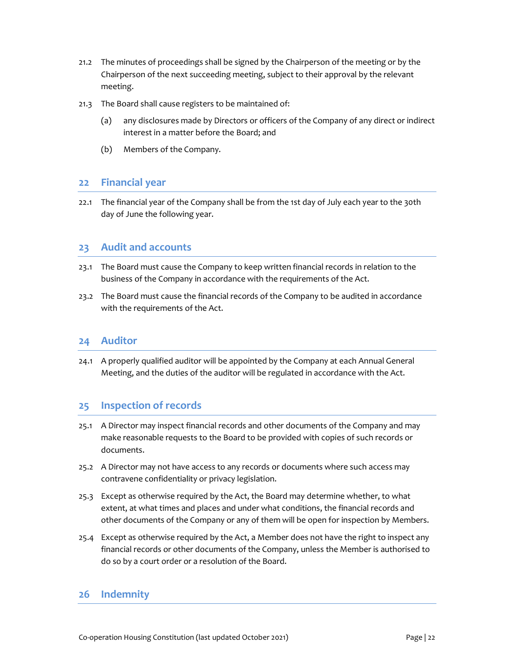- 21.2 The minutes of proceedings shall be signed by the Chairperson of the meeting or by the Chairperson of the next succeeding meeting, subject to their approval by the relevant meeting.
- 21.3 The Board shall cause registers to be maintained of:
	- (a) any disclosures made by Directors or officers of the Company of any direct or indirect interest in a matter before the Board; and
	- (b) Members of the Company.

## 22 Financial year

22.1 The financial year of the Company shall be from the 1st day of July each year to the 30th day of June the following year.

## 23 Audit and accounts

- 23.1 The Board must cause the Company to keep written financial records in relation to the business of the Company in accordance with the requirements of the Act.
- 23.2 The Board must cause the financial records of the Company to be audited in accordance with the requirements of the Act.

## 24 Auditor

24.1 A properly qualified auditor will be appointed by the Company at each Annual General Meeting, and the duties of the auditor will be regulated in accordance with the Act.

## 25 Inspection of records

- 25.1 A Director may inspect financial records and other documents of the Company and may make reasonable requests to the Board to be provided with copies of such records or documents.
- 25.2 A Director may not have access to any records or documents where such access may contravene confidentiality or privacy legislation.
- 25.3 Except as otherwise required by the Act, the Board may determine whether, to what extent, at what times and places and under what conditions, the financial records and other documents of the Company or any of them will be open for inspection by Members.
- 25.4 Except as otherwise required by the Act, a Member does not have the right to inspect any financial records or other documents of the Company, unless the Member is authorised to do so by a court order or a resolution of the Board.

## 26 Indemnity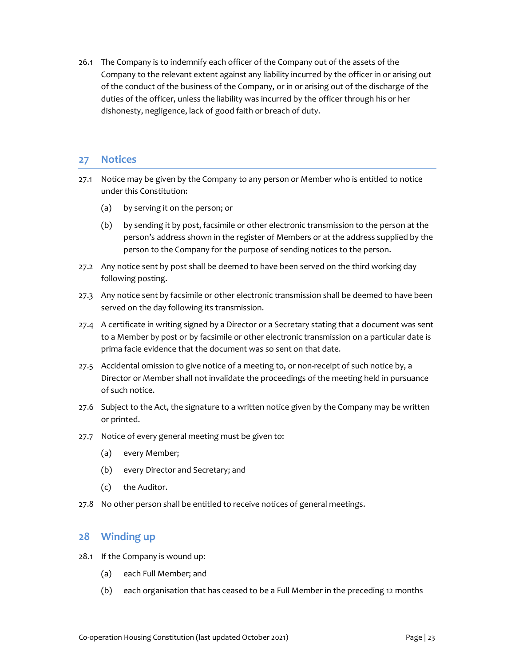26.1 The Company is to indemnify each officer of the Company out of the assets of the Company to the relevant extent against any liability incurred by the officer in or arising out of the conduct of the business of the Company, or in or arising out of the discharge of the duties of the officer, unless the liability was incurred by the officer through his or her dishonesty, negligence, lack of good faith or breach of duty.

## 27 Notices

- 27.1 Notice may be given by the Company to any person or Member who is entitled to notice under this Constitution:
	- (a) by serving it on the person; or
	- (b) by sending it by post, facsimile or other electronic transmission to the person at the person's address shown in the register of Members or at the address supplied by the person to the Company for the purpose of sending notices to the person.
- 27.2 Any notice sent by post shall be deemed to have been served on the third working day following posting.
- 27.3 Any notice sent by facsimile or other electronic transmission shall be deemed to have been served on the day following its transmission.
- 27.4 A certificate in writing signed by a Director or a Secretary stating that a document was sent to a Member by post or by facsimile or other electronic transmission on a particular date is prima facie evidence that the document was so sent on that date.
- 27.5 Accidental omission to give notice of a meeting to, or non-receipt of such notice by, a Director or Member shall not invalidate the proceedings of the meeting held in pursuance of such notice.
- 27.6 Subject to the Act, the signature to a written notice given by the Company may be written or printed.
- 27.7 Notice of every general meeting must be given to:
	- (a) every Member;
	- (b) every Director and Secretary; and
	- (c) the Auditor.
- 27.8 No other person shall be entitled to receive notices of general meetings.

## 28 Winding up

- 28.1 If the Company is wound up:
	- (a) each Full Member; and
	- (b) each organisation that has ceased to be a Full Member in the preceding 12 months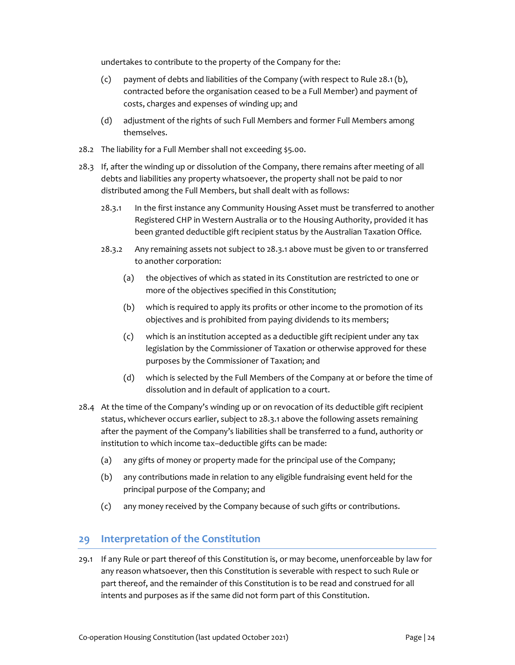undertakes to contribute to the property of the Company for the:

- (c) payment of debts and liabilities of the Company (with respect to Rule 28.1 (b), contracted before the organisation ceased to be a Full Member) and payment of costs, charges and expenses of winding up; and
- (d) adjustment of the rights of such Full Members and former Full Members among themselves.
- 28.2 The liability for a Full Member shall not exceeding \$5.00.
- 28.3 If, after the winding up or dissolution of the Company, there remains after meeting of all debts and liabilities any property whatsoever, the property shall not be paid to nor distributed among the Full Members, but shall dealt with as follows:
	- 28.3.1 In the first instance any Community Housing Asset must be transferred to another Registered CHP in Western Australia or to the Housing Authority, provided it has been granted deductible gift recipient status by the Australian Taxation Office.
	- 28.3.2 Any remaining assets not subject to 28.3.1 above must be given to or transferred to another corporation:
		- (a) the objectives of which as stated in its Constitution are restricted to one or more of the objectives specified in this Constitution;
		- (b) which is required to apply its profits or other income to the promotion of its objectives and is prohibited from paying dividends to its members;
		- (c) which is an institution accepted as a deductible gift recipient under any tax legislation by the Commissioner of Taxation or otherwise approved for these purposes by the Commissioner of Taxation; and
		- (d) which is selected by the Full Members of the Company at or before the time of dissolution and in default of application to a court.
- 28.4 At the time of the Company's winding up or on revocation of its deductible gift recipient status, whichever occurs earlier, subject to 28.3.1 above the following assets remaining after the payment of the Company's liabilities shall be transferred to a fund, authority or institution to which income tax–deductible gifts can be made:
	- (a) any gifts of money or property made for the principal use of the Company;
	- (b) any contributions made in relation to any eligible fundraising event held for the principal purpose of the Company; and
	- (c) any money received by the Company because of such gifts or contributions.

## 29 Interpretation of the Constitution

29.1 If any Rule or part thereof of this Constitution is, or may become, unenforceable by law for any reason whatsoever, then this Constitution is severable with respect to such Rule or part thereof, and the remainder of this Constitution is to be read and construed for all intents and purposes as if the same did not form part of this Constitution.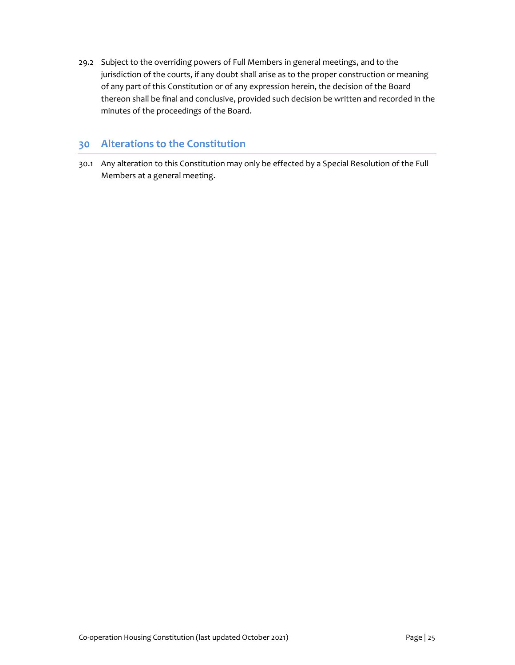29.2 Subject to the overriding powers of Full Members in general meetings, and to the jurisdiction of the courts, if any doubt shall arise as to the proper construction or meaning of any part of this Constitution or of any expression herein, the decision of the Board thereon shall be final and conclusive, provided such decision be written and recorded in the minutes of the proceedings of the Board.

# 30 Alterations to the Constitution

30.1 Any alteration to this Constitution may only be effected by a Special Resolution of the Full Members at a general meeting.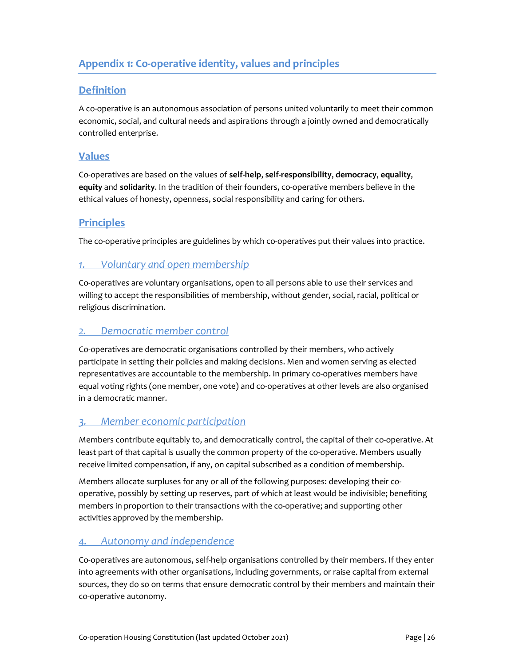# Appendix 1: Co-operative identity, values and principles

## **Definition**

A co-operative is an autonomous association of persons united voluntarily to meet their common economic, social, and cultural needs and aspirations through a jointly owned and democratically controlled enterprise.

## Values

Co-operatives are based on the values of self-help, self-responsibility, democracy, equality, equity and solidarity. In the tradition of their founders, co-operative members believe in the ethical values of honesty, openness, social responsibility and caring for others.

## **Principles**

The co-operative principles are guidelines by which co-operatives put their values into practice.

## 1. Voluntary and open membership

Co-operatives are voluntary organisations, open to all persons able to use their services and willing to accept the responsibilities of membership, without gender, social, racial, political or religious discrimination.

#### 2. Democratic member control

Co-operatives are democratic organisations controlled by their members, who actively participate in setting their policies and making decisions. Men and women serving as elected representatives are accountable to the membership. In primary co-operatives members have equal voting rights (one member, one vote) and co-operatives at other levels are also organised in a democratic manner.

## 3. Member economic participation

Members contribute equitably to, and democratically control, the capital of their co-operative. At least part of that capital is usually the common property of the co-operative. Members usually receive limited compensation, if any, on capital subscribed as a condition of membership.

Members allocate surpluses for any or all of the following purposes: developing their cooperative, possibly by setting up reserves, part of which at least would be indivisible; benefiting members in proportion to their transactions with the co-operative; and supporting other activities approved by the membership.

## 4. Autonomy and independence

Co-operatives are autonomous, self-help organisations controlled by their members. If they enter into agreements with other organisations, including governments, or raise capital from external sources, they do so on terms that ensure democratic control by their members and maintain their co-operative autonomy.